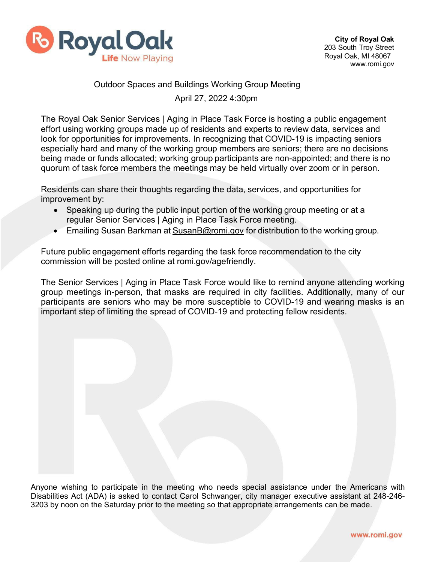

## Outdoor Spaces and Buildings Working Group Meeting April 27, 2022 4:30pm

The Royal Oak Senior Services | Aging in Place Task Force is hosting a public engagement effort using working groups made up of residents and experts to review data, services and look for opportunities for improvements. In recognizing that COVID-19 is impacting seniors especially hard and many of the working group members are seniors; there are no decisions being made or funds allocated; working group participants are non-appointed; and there is no quorum of task force members the meetings may be held virtually over zoom or in person.

Residents can share their thoughts regarding the data, services, and opportunities for improvement by:

- Speaking up during the public input portion of the working group meeting or at a regular Senior Services | Aging in Place Task Force meeting.
- Emailing Susan Barkman at [SusanB@romi.gov](mailto:SusanB@romi.gov) for distribution to the working group.

Future public engagement efforts regarding the task force recommendation to the city commission will be posted online at romi.gov/agefriendly.

The Senior Services | Aging in Place Task Force would like to remind anyone attending working group meetings in-person, that masks are required in city facilities. Additionally, many of our participants are seniors who may be more susceptible to COVID-19 and wearing masks is an important step of limiting the spread of COVID-19 and protecting fellow residents.

Anyone wishing to participate in the meeting who needs special assistance under the Americans with Disabilities Act (ADA) is asked to contact Carol Schwanger, city manager executive assistant at 248-246- 3203 by noon on the Saturday prior to the meeting so that appropriate arrangements can be made.